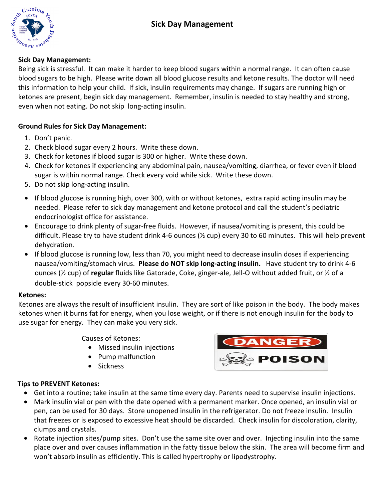

## **Sick%Day%Management:**

Being sick is stressful. It can make it harder to keep blood sugars within a normal range. It can often cause blood sugars to be high. Please write down all blood glucose results and ketone results. The doctor will need this information to help your child. If sick, insulin requirements may change. If sugars are running high or ketones are present, begin sick day management. Remember, insulin is needed to stay healthy and strong, even when not eating. Do not skip long-acting insulin.

## **Ground Rules for Sick Day Management:**

- 1. Don't panic.
- 2. Check blood sugar every 2 hours. Write these down.
- 3. Check for ketones if blood sugar is 300 or higher. Write these down.
- 4. Check for ketones if experiencing any abdominal pain, nausea/vomiting, diarrhea, or fever even if blood sugar is within normal range. Check every void while sick. Write these down.
- 5. Do not skip long-acting insulin.
- If blood glucose is running high, over 300, with or without ketones, extra rapid acting insulin may be needed. Please refer to sick day management and ketone protocol and call the student's pediatric endocrinologist office for assistance.
- Encourage to drink plenty of sugar-free fluids. However, if nausea/vomiting is present, this could be difficult. Please try to have student drink 4-6 ounces ( $\frac{1}{2}$  cup) every 30 to 60 minutes. This will help prevent dehydration.
- If blood glucose is running low, less than 70, you might need to decrease insulin doses if experiencing nausea/vomiting/stomach virus. Please do NOT skip long-acting insulin. Have student try to drink 4-6 ounces (½ cup) of **regular** fluids like Gatorade, Coke, ginger-ale, Jell-O without added fruit, or ½ of a double-stick popsicle every 30-60 minutes.

#### **Ketones:**

Ketones are always the result of insufficient insulin. They are sort of like poison in the body. The body makes ketones when it burns fat for energy, when you lose weight, or if there is not enough insulin for the body to use sugar for energy. They can make you very sick.

Causes of Ketones:

- Missed insulin injections
- Pump malfunction
- Sickness



## **Tips to PREVENT Ketones:**

- Get into a routine; take insulin at the same time every day. Parents need to supervise insulin injections.
- Mark insulin vial or pen with the date opened with a permanent marker. Once opened, an insulin vial or pen, can be used for 30 days. Store unopened insulin in the refrigerator. Do not freeze insulin. Insulin that freezes or is exposed to excessive heat should be discarded. Check insulin for discoloration, clarity, clumps and crystals.
- Rotate injection sites/pump sites. Don't use the same site over and over. Injecting insulin into the same place over and over causes inflammation in the fatty tissue below the skin. The area will become firm and won't absorb insulin as efficiently. This is called hypertrophy or lipodystrophy.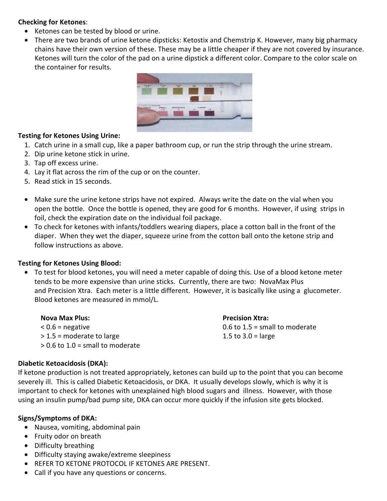### **Checking for Ketones:**

- Ketones can be tested by blood or urine.
- There are two brands of urine ketone dipsticks: Ketostix and Chemstrip K. However, many big pharmacy chains have their own version of these. These may be a little cheaper if they are not covered by insurance. Ketones will turn the color of the pad on a urine dipstick a different color. Compare to the color scale on the container for results.



### **Testing for Ketones Using Urine:**

- 1. Catch urine in a small cup, like a paper bathroom cup, or run the strip through the urine stream.
- 2. Dip urine ketone stick in urine.
- 3. Tap off excess urine.
- 4. Lay it flat across the rim of the cup or on the counter.
- 5. Read stick in 15 seconds.
- Make sure the urine ketone strips have not expired. Always write the date on the vial when you open the bottle. Once the bottle is opened, they are good for 6 months. However, if using strips in foil, check the expiration date on the individual foil package.
- To check for ketones with infants/toddlers wearing diapers, place a cotton ball in the front of the diaper. When they wet the diaper, squeeze urine from the cotton ball onto the ketone strip and follow instructions as above.

## **Testing for Ketones Using Blood:**

• To test for blood ketones, you will need a meter capable of doing this. Use of a blood ketone meter tends to be more expensive than urine sticks. Currently, there are two: NovaMax Plus and Precision Xtra. Each meter is a little different. However, it is basically like using a glucometer. Blood ketones are measured in mmol/L.

| <b>Nova Max Plus:</b>              |
|------------------------------------|
| $< 0.6$ = negative                 |
| $>$ 1.5 = moderate to large        |
| $> 0.6$ to 1.0 = small to moderate |

#### **Diabetic Ketoacidosis (DKA):**

If ketone production is not treated appropriately, ketones can build up to the point that you can become severely ill. This is called Diabetic Ketoacidosis, or DKA. It usually develops slowly, which is why it is important to check for ketones with unexplained high blood sugars and illness. However, with those using an insulin pump/bad pump site, DKA can occur more quickly if the infusion site gets blocked.

## **Signs/Symptoms of DKA:**

- Nausea, vomiting, abdominal pain
- Fruity odor on breath
- Difficulty breathing
- Difficulty staying awake/extreme sleepiness
- REFER TO KETONE PROTOCOL IF KETONES ARE PRESENT.
- Call if you have any questions or concerns.

# **Precision Xtra:**

 $0.6$  to  $1.5$  = small to moderate 1.5 to  $3.0$  = large